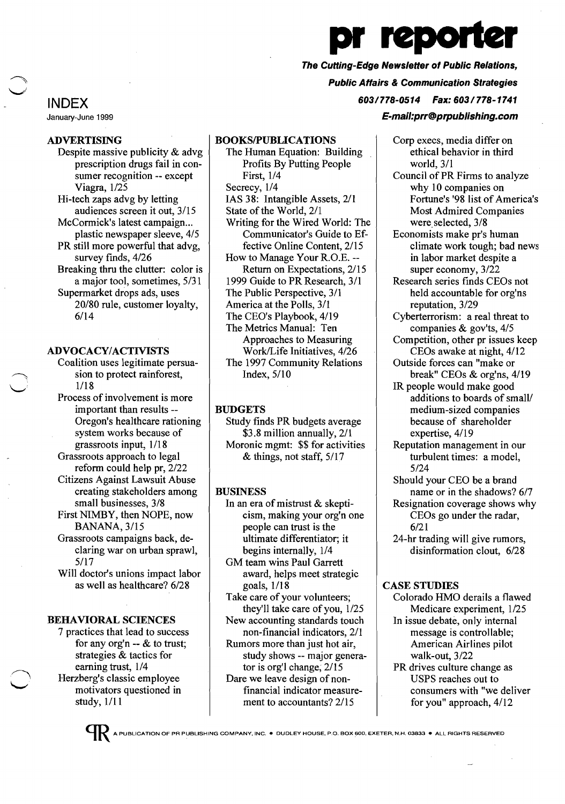# **The Cutting-Edge Newsletter of Public Relations, Public Affairs & Communication Strategies**  *603/778-0514 Fax: 603/778-1741*

**reporte** 

**E-mail:prr@prpublishing.com** 

**INDEX** 

January-June 1999

## ADVERTISING

- Despite massive publicity & advg prescription drugs fail in consumer recognition -- except Viagra, 1/25 Hi-tech zaps advg by letting audiences screen it out, 3/15 McCormick's latest campaign... plastic newspaper sleeve, 4/5
- PR still more powerful that advg, survey finds, 4/26 Breaking thru the clutter: color is a major tool, sometimes, 5/31 Supermarket drops ads, uses 20/80 rule, customer loyalty,

6/14

#### ADVOCACY/ACTIVISTS

- Coalition uses legitimate persuasion to protect rainforest, 1/18
- Process of involvement is more important than results - Oregon's healthcare rationing system works because of grassroots input, 1/18
- Grassroots approach to legal reform could help pr, 2/22
- Citizens Against Lawsuit Abuse creating stakeholders among small businesses, 3/8
- First NIMBY, then NOPE, now BANANA, 3/15
- Grassroots campaigns back, declaring war on urban sprawl, 5/17
- Will doctor's unions impact labor as well as healthcare? 6/28

#### BEHAVIORAL SCIENCES

- 7 practices that lead to success for any org'n -- & to trust; strategies & tactics for earning trust, 1/4
- Herzberg's classic employee motivators questioned in study, 1/11

#### BOOKSIPUBLICATIONS

The Human Equation: Building Profits By Putting People First, 1/4 Secrecy, 1/4 lAS 38: Intangible Assets, 2/1 State of the World, 2/1 Writing for the Wired World: The Communicator's Guide to Effective Online Content, 2/15 How to Manage Your R.O.E. - Return on Expectations, 2/15 1999 Guide to PR Research, 3/1 The Public Perspective, 3/1 America at the Polls, 3/1 The CEO's Playbook, 4/19 The Metrics Manual: Ten Approaches to Measuring Work/Life Initiatives, 4/26 The 1997 Community Relations Index, 5/10

#### BUDGETS

Study finds PR budgets average \$3.8 million annually, 2/1 Moronic mgmt: \$\$ for activities & things, not staff, 5/17

### BUSINESS

- In an era of mistrust & skepticism, making your org'n one people can trust is the ultimate differentiator; it begins internally, 1/4
- GM team wins Paul Garrett award, helps meet strategic goals, 1/18
- Take care of your volunteers; they'll take care of you,  $1/25$ New accounting standards touch
- non-financial indicators, 2/1 Rumors more than just hot air, study shows -- major generator is org'l change; 2/15 Dare we leave design of nonfinancial indicator measurement to accountants? 2/15

Corp execs, media differ on ethical behavior in third world,3/1

- Council of PR Firms to analyze why 10 companies on Fortune's '98 list of America's Most Admired Companies were selected,  $3/8$
- Economists make pr's human climate work tough; bad news in labor market despite a super economy, 3/22
- Research series finds CEOs not held accountable for org'ns reputation, 3/29
- Cyberterrorism: a real threat to companies & gov'ts, 4/5
- Competition, other pr issues keep CEOs awake at night, 4/12
- Outside forces can "make or break" CEOs & org'ns, 4/19
- IR people would make good additions to boards of small/ medium-sized companies because of shareholder expertise, 4/19
- Reputation management in our turbulent times: a model, 5/24
- Should your CEO be a brand name or in the shadows? 6/7
- Resignation coverage shows why CEOs go under the radar, 6/21
- 24-hr trading will give rumors, disinformation clout, 6/28

#### CASE STUDIES

- Colorado HMO derails a flawed Medicare experiment, 1/25
- In issue debate, only internal message is controllable; American Airlines pilot walk-out, 3/22
- PR drives culture change as USPS reaches out to consumers with "we deliver for you" approach, 4/12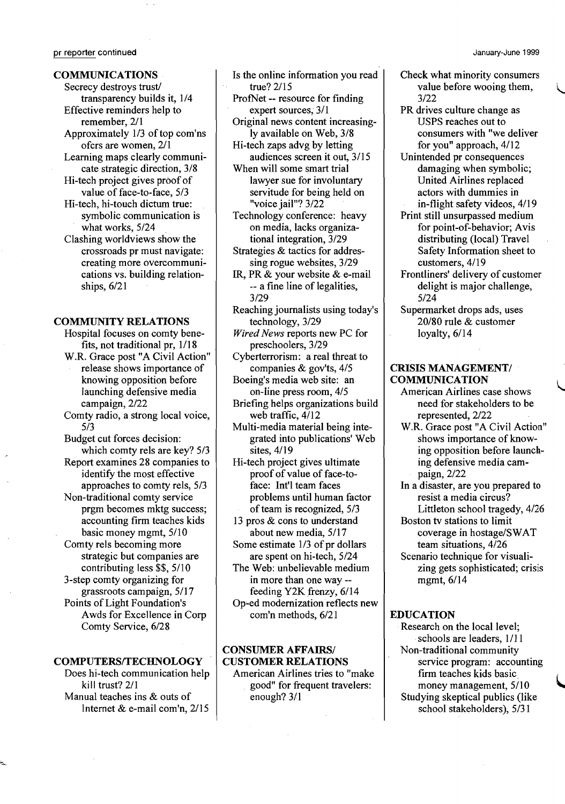#### COMMUNICATIONS

Secrecy destroys *trust!*  transparency builds it, 1/4 Effective reminders help to remember, 2/1 Approximately 1/3 of top com'ns ofcrs are women; 2/1 Learning maps clearly communicate strategic direction, 3/8 Hi-tech project gives proof of value of face-to-face, 5/3 Hi-tech, hi-touch dictum true: symbolic communication is what works, 5/24 Clashing worldviews show the crossroads pr must navigate: creating more overcommunications vs. building relationships, 6/21

#### COMMUNITY RELATIONS

Hospital focuses on comty benefits, not traditional pr, 1/18 W.R. Grace post "A Civil Action" release shows importance of knowing opposition before launching defensive media campaign, 2/22 Comty radio, a strong local voice, 5/3 Budget cut forces decision: which comty rels are key? 5/3 Report examines 28 companies to identify the most effective approaches to comty rels, 5/3 Non-traditional comty service prgm becomes mktg success; accounting firm teaches kids basic money mgmt, 5/10 Comty rels becoming more strategic but companies are contributing less \$\$, 5/10 3-step comty organizing for grassroots campaign, 5/17 Points of Light Foundation's Awds for Excellence in Corp Comty Service, 6/28

#### COMPUTERS/TECHNOLOGY

Does hi-tech communication help kill trust? 2/1 Manual teaches ins & outs of Internet & e-mail com'n, 2/15

Is the online information you read true? 2/15 ProfNet -- resource for finding

- expert sources, 3/1 Original news content increasing-
- ly available on Web, 3/8
- Hi-tech zaps advg by letting audiences screen it out, 3/15

When will some smart trial lawyer sue for involuntary servitude for being held on "voice jail"? 3/22

Technology conference: heavy on media, lacks organizational integration, 3/29 Strategies & tactics for addres-

sing rogue websites, 3/29

IR, PR & your website & e-mail -- a fine line of legalities, 3/29

Reaching journalists using today's technology, 3/29

*Wired News* reports new PC for preschoolers, 3/29

Cyberterrorism: a real threat to companies & gov'ts, 4/5

Boeing's media web site: an on-line press room, 4/5

Briefing helps organizations build web traffic, 4/12

Multi-media material being integrated into publications' Web sites, 4/19

- Hi-tech project gives ultimate proof of value of face-toface: Int'l team faces problems until human factor of team is recognized, 5/3
- 13 pros & cons to understand about new media, 5/17 Some estimate 1/3 of pr dollars
- are spent on hi-tech, 5/24

The Web: unbelievable medium in more than one way feeding Y2K frenzy, 6/14 Op-ed modernization reflects new

com'n methods, 6/21

# CONSUMER AFFAIRS/ CUSTOMER RELATIONS

American Airlines tries to "make good" for frequent travelers: enough? 3/1

Check what minority consumers value before wooing them, 3/22

PR drives culture change as USPS reaches out to consumers with "we deliver for you" approach, 4/12

Unintended pr consequences damaging when symbolic; United Airlines replaced actors with dummies in in-flight safety videos, 4/19

- Print still unsurpassed medium for point-of-behavior; Avis distributing (local) Travel Safety Information sheet to customers, 4/19
- Frontliners' delivery of customer delight is major challenge, 5/24

Supermarket drops ads, uses 20/80 rule & customer loyalty, 6/14

#### CRISIS MANAGEMENT/ **COMMUNICATION**

American Airlines case shows need for stakeholders to be represented, 2/22

W.R. Grace post "A Civil Action" shows importance of knowing opposition before launching defensive media campaign, 2/22

In a disaster, are you prepared to resist a media circus? Littleton school tragedy, 4/26

Boston tv stations to limit coverage in hostage/SWAT team situations, 4/26

Scenario technique for visualizing gets sophisticated; crisis mgmt, 6/14

#### EDUCATION

Research on the local level; schools are leaders, 1/11 Non-traditional community service program: accounting firm teaches kids basic. money management, 5/10 Studying skeptical publics (like school stakeholders), 5/31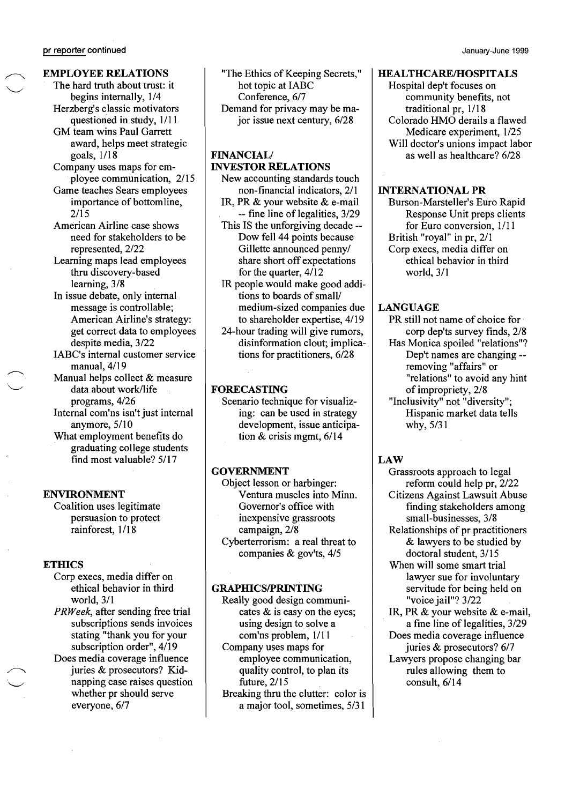**EMPLOYEE RELATIONS** The hard truth about trust: it begins internally, 1/4 Herzberg's classic motivators questioned in study, 1/11 GM team wins Paul Garrett

award, helps meet strategic goals, 1/18 . Company uses maps for em-

ployee communication, 2/15 Game teaches Sears employees importance of bottom line, 2/15

American Airline case shows need for stakeholders to be represented, 2/22

Learning maps lead employees thru discovery-based learning, 3/8

In issue debate, only internal message is controllable; American Airline's strategy: get correct data to employees despite media, 3/22

IABC's internal customer service manual, 4/19<br>Manual helps collect & measure

data about work/life programs, 4/26

Internal com'ns isn't just internal anymore, 5/10

What employment benefits do graduating college students find most valuable? 5/17

#### ENVIRONMENT

Coalition uses legitimate persuasion to protect rainforest, 1/18

#### **ETHICS**

Corp execs, media differ on ethical behavior in third world, 3/1

*PRWeek,* after sending free trial subscriptions sends invoices stating "thank you for your subscription order", 4/19

Does media coverage influence juries & prosecutors? Kidnapping case raises question whether pr should serve everyone, 6/7

"The Ethics of Keeping Secrets," hot topic at IABC Conference, 6/7 Demand for privacy may be major issue next century, 6/28

# FINANCIAl)

# INVESTOR RELATIONS

- New accounting standards touch non-financial indicators, 2/1 IR, PR & your website & e-mail
- -- fine line of legalities, 3/29 This IS the unforgiving decade -- Dow fell 44 points because Gillette announced penny/ share short off expectations for the quarter, 4/12
- IR people would make good additions to boards of small/ medium-sized companies due to shareholder expertise, 4/19
- 24-hour trading will give rumors, disinformation clout; implications for practitioners, 6/28

#### FORECASTING

Scenario technique for visualizing: can be used in strategy development, issue anticipation & crisis mgmt, 6/14

#### **GOVERNMENT**

Object lesson or harbinger: Ventura muscles into Minn. Governor's office with inexpensive grassroots campaign, 2/8 Cyberterrorism: a real threat to companies & gov'ts, 4/5

#### **GRAPHICS/PRINTING**

Really good design communicates & is easy on the eyes; using design to solve a com'ns problem, 1/11 Company uses maps for employee communication, quality control, to plan its future, 2/15

Breaking thru the clutter: color is a major tool, sometimes, 5/31

HEALTHCARE/HOSPITALS

Hospital dep't focuses on community benefits, not traditional pr, 1/18 Colorado HMO derails a flawed Medicare experiment, 1/25 Will doctor's unions impact labor as well as healthcare? 6/28

### INTERNATIONAL PR

Burson-Marsteller's Euro Rapid Response Unit preps clients for Euro conversion, 1/11 British "royal" in pr, 2/1 Corp execs, media differ on ethical behavior in third world,3/1

#### LANGUAGE

PR still not name of choice for corp dep'ts survey finds, 2/8 Has Monica spoiled "relations"? Dep't names are changing removing "affairs" or "relations" to avoid any hint of impropriety, 2/8 "Inclusivity" not "diversity"; Hispanic market data tells why, 5/31

#### LAW

Grassroots approach to legal reform could help pr, 2/22 Citizens Against Lawsuit Abuse finding stakeholders among small-businesses, 3/8 Relationships of pr practitioners & lawyers to be studied by doctoral student, 3/15

When will some smart trial lawyer sue for involuntary servitude for being held on "voice jail"? 3/22

IR, PR & your website & e-mail, a fine line of legalities, 3/29 Does media coverage influence

juries & prosecutors? 6/7 Lawyers propose changing bar

rules allowing them to consult, 6/14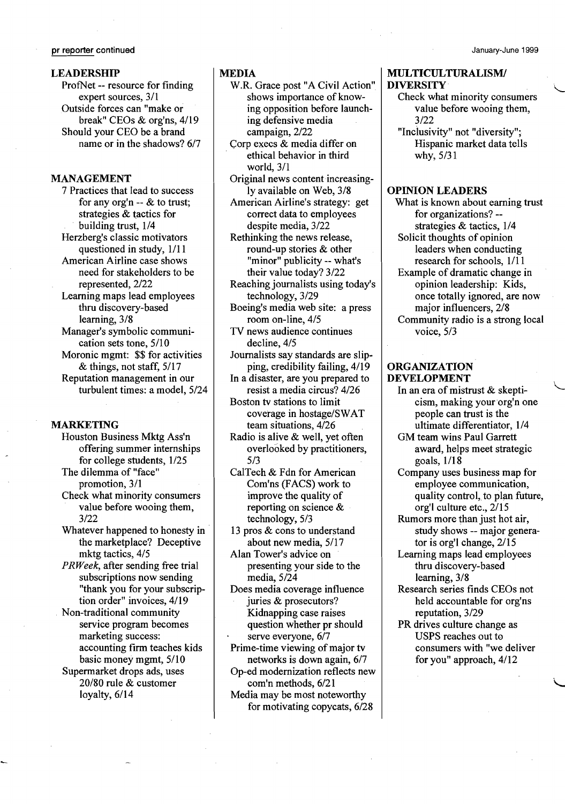#### pr reporter continued

#### LEADERSHIP

ProfNet -- resource for finding expert sources, 3/1 Outside forces can "make or break" CEOs & org'ns, 4/19 Should your CEO be a brand name or in the shadows? 6/7

#### MANAGEMENT

7 Practices that lead to success for any org'n -- & to trust; strategies & tactics for building trust,  $1/4$ Herzberg's classic motivators questioned in study, 1/11 American Airline case shows need for stakeholders to be represented, 2/22 Learning maps lead employees thru discovery-based learning, 3/8 Manager's symbolic communication sets tone, 5/10 Moronic mgmt: \$\$ for activities & things, not staff, 5/17 Reputation management in our turbulent times: a model, 5/24

#### MARKETING

Houston Business Mktg Ass'n offering summer internships for college students, 1/25 The dilemma of "face"

promotion, 3/1 Check what minority consumers value before wooing them,

3/22 Whatever happened to honesty in . the marketplace? Deceptive

mktg tactics, 4/5 *PRWeek,* after sending free trial subscriptions now sending

"thank you for your subscription order" invoices, 4/19 . Non-traditional community

service program becomes marketing success: accounting firm teaches kids basic money mgmt, 5/10

Supermarket drops ads, uses 20/80 rule & customer loyalty, 6/14

MEDIA

- W.R. Grace post "A Civil Action" shows importance of knowing opposition before launching defensive media campaign, 2/22
- Corp execs & media differ on ethical behavior in third world, 3/1
- Original news content increasingly available on Web, 3/8
- American Airline's strategy: get correct data to employees despite media, 3/22
- Rethinking the news release, round-Up stories & other "minor" publicity -- what's their value today? 3/22

Reaching journalists using today's technology, 3/29

Boeing's media web site: a press room on-line, 4/5

TV news audience continues decline, 4/5

Journalists say standards are slipping, credibility failing, 4/19 In a disaster, are you prepared to

resist a media circus? 4/26

- Boston tv stations to limit coverage in hostage/SWAT team situations, 4/26
- Radio is alive & well, yet often overlooked by practitioners, 5/3
- CalTech & Fdn for American Com'ns (FACS) work to improve the quality of reporting on science & technology, 5/3
- 13 pros & cons to understand about new media, 5/17

Alan Tower's advice on presenting your side to the media, 5/24

- Does media coverage influence juries & prosecutors? Kidnapping case raises question whether pr should serve everyone, 6/7
- Prime-time viewing of major tv networks is down again, 6/7
- Op-ed modernization reflects new com'n methods, 6/21
- Media may be most noteworthy for motivating copycats, 6/28

#### MULTICULTURALISMI **DIVERSITY**

Check what minority consumers value before wooing them, 3/22

"Inclusivity" not "diversity"; Hispanic market data tells why, 5/31

#### OPINION LEADERS

What is known about earning trust for organizations? strategies & tactics, 1/4 Solicit thoughts of opinion leaders when conducting research for schools, 1/11 Example of dramatic change in opinion leadership: Kids, once totally ignored, are now major influencers, 2/8 Community radio is a strong local voice, 5/3

#### **ORGANIZATION** DEVELOPMENT

- In an era of mistrust & skepticism, making your org'n one people can trust is the ultimate differentiator, 1/4
- GM team wins Paul Garrett award, helps meet strategic goals, 1/18
- Company uses business map for employee communication, quality control, to plan future, org'l culture etc., 2/15
- Rumors more than just hot air, study shows -- major generator is org'l change, 2/15
- Learning maps lead employees thru discovery-based learning, 3/8
- Research series finds CEOs not held accountable for org'ns reputation, 3/29
- PR drives culture change as USPS reaches out to consumers with "we deliver for you" approach, 4/12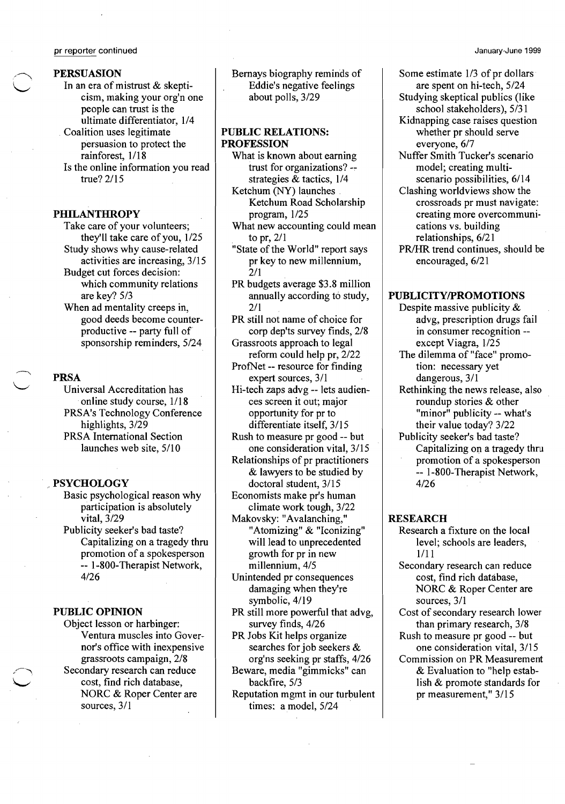#### pr reporter continued

### **PERSUASION**

In an era of mistrust & skepticism, making your org'n one people can trust is the ultimate differentiator, 1/4 . Coalition uses legitimate persuasion to protect the rainforest, 1/18 Is the online information you read true? 2/15

#### PHILANTHROPY

Take care of your volunteers; they'll take care of you, 1/25 Study shows why cause-related activities are increasing, 3/15 Budget cut forces decision: which community relations are key? 5/3 When ad mentality creeps in, good deeds become counterproductive -- party full of sponsorship reminders, 5/24

#### PRSA

Universal Accreditation has online study course, 1/18 PRSA's Technology Conference highlights, 3/29 PRSA International Section launches web site, 5/10

#### *. r* PSYCHOLOGY

- Basic psychological reason why participation is absolutely vital, 3/29
- Publicity seeker's bad taste? Capitalizing on a tragedy thru promotion of a spokesperson -- 1-800-Therapist Network, 4/26

#### PUBLIC OPINION

Object lesson or harbinger: Ventura muscles into Governor's office with inexpensive grassroots campaign, 2/8 Secondary research can reduce *\.-...i* cost, find rich database, NORC & Roper Center are sources, 3/1

Bernays biography reminds of Eddie's negative feelings about polls, 3/29

#### PUBLIC RELATIONS: PROFESSION

- What is known about earning trust for organizations? -strategies & tactics, 1/4 Ketchum (NY) launches .
- Ketchum Road Scholarship program, 1/25
- What new accounting could mean to pr, 2/1
- "State of the World" report says pr key to new millennium, 2/1
- PR budgets average \$3.8 million annually according to study, 2/1
- PR still not name of choice for corp dep'ts survey finds, 2/8 Grassroots approach to legal
- reform could help pr, 2/22 ProfNet -- resource for finding
- expert sources, 3/1
- Hi-tech zaps advg -- lets audiences screen it out; major opportunity for pr to differentiate itself, 3/15
- Rush to measure pr good -- but one consideration vital, 3/15 Relationships of pr practitioners
- & lawyers to be studied by doctoral student, 3/15
- Economists make pr's human climate work tough, 3/22
- Makovsky: "Avalanching," "Atomizing" & "Iconizing" will lead to unprecedented growth for pr in new millennium, 4/5
- Unintended pr consequences damaging when they're symbolic,4/19
- PR still more powerful that advg, survey finds, 4/26
- PR Jobs Kit helps organize searches for job seekers & org'ns seeking pr staffs, 4/26
- Beware, media "gimmicks" can backfire, 5/3
- Reputation mgmt in our turbulent times: a model, 5/24
- Some estimate 1/3 of pr dollars are spent on hi-tech, 5/24 Studying skeptical publics (like
- school stakeholders), 5/31
- Kidnapping case raises question whether pr should serve everyone, 6/7
- Nuffer Smith Tucker's scenario model; creating multiscenario possibilities, 6/14
- Clashing worldviews show the crossroads pr must navigate: creating more overcommunications vs. building relationships, 6/21
- PR/HR trend continues, should be encouraged, 6/21

#### PUBLICITY/PROMOTIONS

- Despite massive publicity & advg, prescription drugs fail in consumer recognition except Viagra, 1/25
- The dilemma of "face" promotion: necessary yet dangerous, 3/1
- Rethinking the news release, also roundup stories & other "minor" publicity -- what's their value today? 3/22
- Publicity seeker's bad taste? Capitalizing on a tragedy thru promotion of a spokesperson -- 1-800-Therapist Network,
	- 4/26

#### **RESEARCH**

- Research a fixture on the local level; schools are leaders, 1/11
- Secondary research can reduce cost, find rich database, NORC & Roper Center are sources, 3/1
- Cost of secondary research lower than primary research, 3/8
- Rush to measure pr good -- but one consideration vital, 3/15
- Commission on PR Measurement & Evaluation to "help establish & promote standards for pr measurement," 3/15